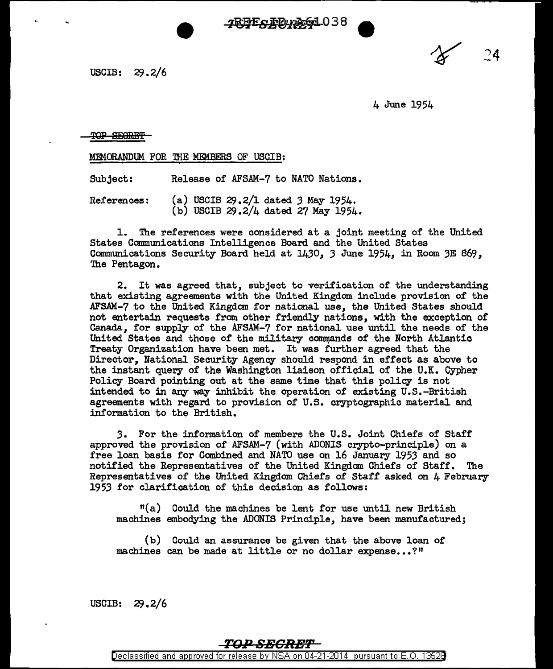7RBE & RD pAG1038

USCIB:  $29.2/6$ 

4 June 1954

*24* 

TOP SECRET

MEMORANDUM FOR THE MEMBERS OF USCIB:

Subject: Release of AFSAM-7 to NATO Nations.

References: (a) USCIB 29.2/1 dated 3 May 1954. (b) USCIB  $29.2/4$  dated 27 May 1954.

l. The references were considered at a joint meeting of the United States Communications Intelligence Board and the United States Communications Security Board held at 1430, *3* June 1954, in Room *3E* 869, The Pentagon.

2. It was agreed that, subject to verification of the understanding that existing agreements with the United Kingdom include provision of the AFSAM-7 to the United Kingdom for national use, the United States should not entertain requests from other friendly nations, with the exception of Canada, for supply of the AFSAM-7 for national use until the needs of the United States and those of the military commands of the North Atlantic Treaty Organization have been met. It was further agreed that the Director, National Security Agency should respond in effect as above to the instant query of the Washington liaison official of the U.K. Cypher Policy Board pointing out at the same time that this policy is not intended to in any way inhibit the operation of existing U.S.-British agreements with regard to provision of U.S. cryptographic material and information to the British.

*3.* For the information of members the U.S. Joint Chiefs of Staff approved the provision of AFSAM-7 (with ADONIS crypto-principle) on a free loan basis for Combined and NATO use on 16 January 1953 and so notified the Representatives of the United Kingdom Chiefs of Staff. Representatives of the United Kingdom Chiefs of Staff asked on 4 February 1953 for clarification of this decision as follows:

 $t(a)$  Could the machines be lent for use until new British machines embodying the ADONIS Principle, have been manufactured;

(b) Could an assurance be given that the above loan of machines can be made at little or no dollar expense...?"

USCIB:  $29.2/6$